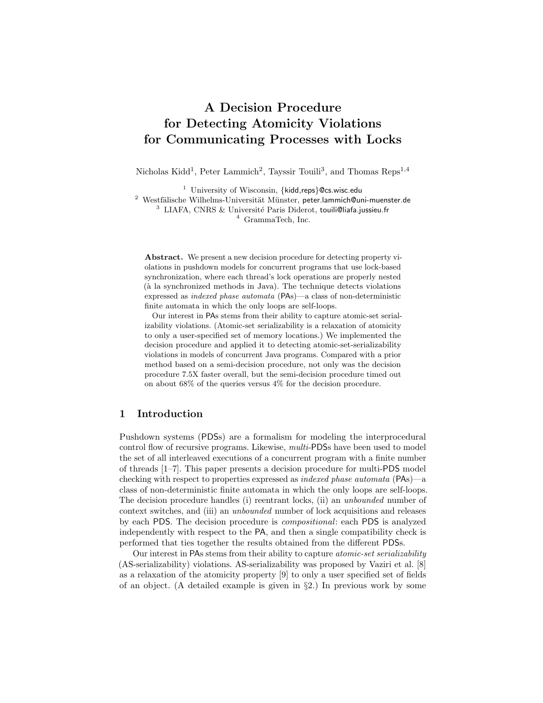# A Decision Procedure for Detecting Atomicity Violations for Communicating Processes with Locks

Nicholas Kidd<sup>1</sup>, Peter Lammich<sup>2</sup>, Tayssir Touili<sup>3</sup>, and Thomas Reps<sup>1,4</sup>

<sup>1</sup> University of Wisconsin, {kidd,reps}@cs.wisc.edu <sup>2</sup> Westfälische Wilhelms-Universität Münster, peter.lammich@uni-muenster.de  $3$  LIAFA, CNRS & Université Paris Diderot, touili@liafa.jussieu.fr <sup>4</sup> GrammaTech, Inc.

Abstract. We present a new decision procedure for detecting property violations in pushdown models for concurrent programs that use lock-based synchronization, where each thread's lock operations are properly nested (à la synchronized methods in Java). The technique detects violations expressed as indexed phase automata (PAs)—a class of non-deterministic finite automata in which the only loops are self-loops.

Our interest in PAs stems from their ability to capture atomic-set serializability violations. (Atomic-set serializability is a relaxation of atomicity to only a user-specified set of memory locations.) We implemented the decision procedure and applied it to detecting atomic-set-serializability violations in models of concurrent Java programs. Compared with a prior method based on a semi-decision procedure, not only was the decision procedure 7.5X faster overall, but the semi-decision procedure timed out on about 68% of the queries versus 4% for the decision procedure.

# 1 Introduction

Pushdown systems (PDSs) are a formalism for modeling the interprocedural control flow of recursive programs. Likewise, multi-PDSs have been used to model the set of all interleaved executions of a concurrent program with a finite number of threads [1–7]. This paper presents a decision procedure for multi-PDS model checking with respect to properties expressed as indexed phase automata (PAs)—a class of non-deterministic finite automata in which the only loops are self-loops. The decision procedure handles (i) reentrant locks, (ii) an unbounded number of context switches, and (iii) an unbounded number of lock acquisitions and releases by each PDS. The decision procedure is compositional: each PDS is analyzed independently with respect to the PA, and then a single compatibility check is performed that ties together the results obtained from the different PDSs.

Our interest in PAs stems from their ability to capture atomic-set serializability (AS-serializability) violations. AS-serializability was proposed by Vaziri et al. [8] as a relaxation of the atomicity property [9] to only a user specified set of fields of an object. (A detailed example is given in §2.) In previous work by some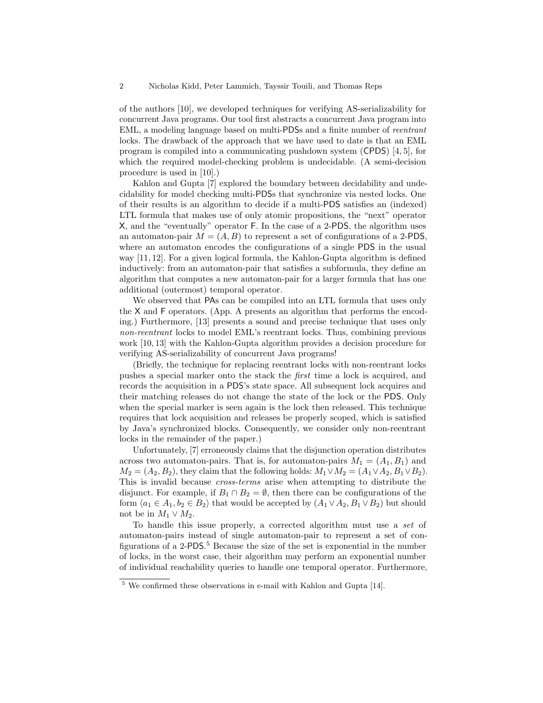of the authors [10], we developed techniques for verifying AS-serializability for concurrent Java programs. Our tool first abstracts a concurrent Java program into EML, a modeling language based on multi-PDSs and a finite number of reentrant locks. The drawback of the approach that we have used to date is that an EML program is compiled into a communicating pushdown system (CPDS) [4, 5], for which the required model-checking problem is undecidable. (A semi-decision procedure is used in [10].)

Kahlon and Gupta [7] explored the boundary between decidability and undecidability for model checking multi-PDSs that synchronize via nested locks. One of their results is an algorithm to decide if a multi-PDS satisfies an (indexed) LTL formula that makes use of only atomic propositions, the "next" operator X, and the "eventually" operator F. In the case of a 2-PDS, the algorithm uses an automaton-pair  $M = (A, B)$  to represent a set of configurations of a 2-PDS. where an automaton encodes the configurations of a single PDS in the usual way [11, 12]. For a given logical formula, the Kahlon-Gupta algorithm is defined inductively: from an automaton-pair that satisfies a subformula, they define an algorithm that computes a new automaton-pair for a larger formula that has one additional (outermost) temporal operator.

We observed that PAs can be compiled into an LTL formula that uses only the X and F operators. (App. A presents an algorithm that performs the encoding.) Furthermore, [13] presents a sound and precise technique that uses only non-reentrant locks to model EML's reentrant locks. Thus, combining previous work [10, 13] with the Kahlon-Gupta algorithm provides a decision procedure for verifying AS-serializability of concurrent Java programs!

(Briefly, the technique for replacing reentrant locks with non-reentrant locks pushes a special marker onto the stack the first time a lock is acquired, and records the acquisition in a PDS's state space. All subsequent lock acquires and their matching releases do not change the state of the lock or the PDS. Only when the special marker is seen again is the lock then released. This technique requires that lock acquisition and releases be properly scoped, which is satisfied by Java's synchronized blocks. Consequently, we consider only non-reentrant locks in the remainder of the paper.)

Unfortunately, [7] erroneously claims that the disjunction operation distributes across two automaton-pairs. That is, for automaton-pairs  $M_1 = (A_1, B_1)$  and  $M_2 = (A_2, B_2)$ , they claim that the following holds:  $M_1 \vee M_2 = (A_1 \vee A_2, B_1 \vee B_2)$ . This is invalid because cross-terms arise when attempting to distribute the disjunct. For example, if  $B_1 \cap B_2 = \emptyset$ , then there can be configurations of the form  $\langle a_1 \in A_1, b_2 \in B_2 \rangle$  that would be accepted by  $(A_1 \vee A_2, B_1 \vee B_2)$  but should not be in  $M_1 \vee M_2$ .

To handle this issue properly, a corrected algorithm must use a set of automaton-pairs instead of single automaton-pair to represent a set of configurations of a 2-PDS. <sup>5</sup> Because the size of the set is exponential in the number of locks, in the worst case, their algorithm may perform an exponential number of individual reachability queries to handle one temporal operator. Furthermore,

<sup>5</sup> We confirmed these observations in e-mail with Kahlon and Gupta [14].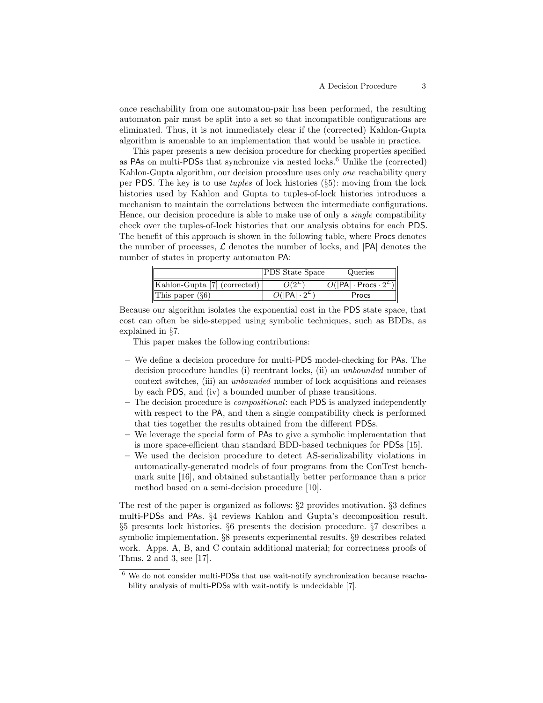once reachability from one automaton-pair has been performed, the resulting automaton pair must be split into a set so that incompatible configurations are eliminated. Thus, it is not immediately clear if the (corrected) Kahlon-Gupta algorithm is amenable to an implementation that would be usable in practice.

This paper presents a new decision procedure for checking properties specified as PAs on multi-PDSs that synchronize via nested locks.<sup>6</sup> Unlike the (corrected) Kahlon-Gupta algorithm, our decision procedure uses only one reachability query per PDS. The key is to use tuples of lock histories (§5): moving from the lock histories used by Kahlon and Gupta to tuples-of-lock histories introduces a mechanism to maintain the correlations between the intermediate configurations. Hence, our decision procedure is able to make use of only a *single* compatibility check over the tuples-of-lock histories that our analysis obtains for each PDS. The benefit of this approach is shown in the following table, where Procs denotes the number of processes,  $\mathcal L$  denotes the number of locks, and  $|PA|$  denotes the number of states in property automaton PA:

|                              | <b>PDS</b> State Space | Queries                                                        |
|------------------------------|------------------------|----------------------------------------------------------------|
| Kahlon-Gupta [7] (corrected) |                        | $\ell( \mathsf{PA} \cdot\mathsf{Process}\cdot 2^{\mathsf{L}})$ |
| This paper $(\S6)$           |                        | Procs                                                          |

Because our algorithm isolates the exponential cost in the PDS state space, that cost can often be side-stepped using symbolic techniques, such as BDDs, as explained in §7.

This paper makes the following contributions:

- We define a decision procedure for multi-PDS model-checking for PAs. The decision procedure handles (i) reentrant locks, (ii) an unbounded number of context switches, (iii) an unbounded number of lock acquisitions and releases by each PDS, and (iv) a bounded number of phase transitions.
- The decision procedure is compositional: each PDS is analyzed independently with respect to the PA, and then a single compatibility check is performed that ties together the results obtained from the different PDSs.
- We leverage the special form of PAs to give a symbolic implementation that is more space-efficient than standard BDD-based techniques for PDSs [15].
- We used the decision procedure to detect AS-serializability violations in automatically-generated models of four programs from the ConTest benchmark suite [16], and obtained substantially better performance than a prior method based on a semi-decision procedure [10].

The rest of the paper is organized as follows: §2 provides motivation. §3 defines multi-PDSs and PAs. §4 reviews Kahlon and Gupta's decomposition result. §5 presents lock histories. §6 presents the decision procedure. §7 describes a symbolic implementation. §8 presents experimental results. §9 describes related work. Apps. A, B, and C contain additional material; for correctness proofs of Thms. 2 and 3, see [17].

 $6$  We do not consider multi-PDSs that use wait-notify synchronization because reachability analysis of multi-PDSs with wait-notify is undecidable [7].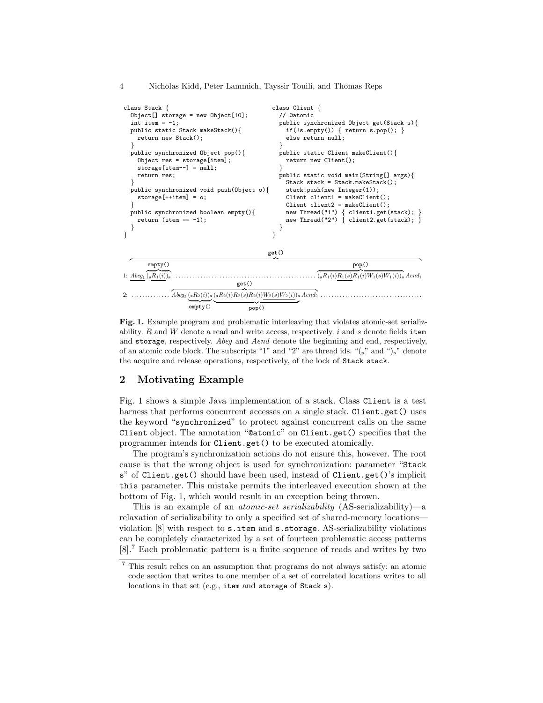4 Nicholas Kidd, Peter Lammich, Tayssir Touili, and Thomas Reps

```
class Stack {
  Object[] storage = new Object[10];
  int item = -1;
  public static Stack makeStack(){
    return new Stack();
  }
  public synchronized Object pop(){
    Object res = storage[item];
    storage[item--] = null;
    return res;
  }
  public synchronized void push(Object o){
    storage[++item] = o;
  }
  public synchronized boolean empty(){
    return (item == -1);
  }
}
                                                   class Client {
                                                     // @atomic
                                                     public synchronized Object get(Stack s){
                                                       if(!s.empty()) { return s.pop(); }else return null;
                                                     }
                                                     public static Client makeClient(){
                                                       return new Client();
                                                     }
                                                     public static void main(String[] args){
                                                       Stack stack = Stack.makeStack();
                                                       stack.push(new Integer(1));
                                                       Client client1 = makeClient();
                                                       Client client2 = makeClient();
                                                        new Thread("1") { client1.get(stack); }
                                                        new Thread("2") { client2.get(stack); }
                                                     }
                                                   }
1:
Abeg1
z }| {
(sR1(i))s . . . . . . . . . . . . . . . . . . . . . . . . . . . . . . . . . . . . . . . . . . . . . . . . . . . .
                                                 get()
  {amntv} {}_{\infty}empty()
                                                                              pop()
                                                                  \overline{({}_{8}R_{1}(i)R_{1}(s)R_{1}(i)W_{1}(s)W_{1}(i))_{s}} Aend<sub>1</sub>
2: . . . . . . . . . . . . . .
                                      get()
                \overline{A \mathit{beg}_2\left({}_\mathbf{s} R_2(i)\right)_\mathbf{s} \left({}_\mathbf{s} R_2(i)R_2(s)R_2(i)W_2(s)W_2(i)\right)_\mathbf{s} A\mathit{end}_2} \dots\overline{ empty()
                               \overline{pop()}
```
Fig. 1. Example program and problematic interleaving that violates atomic-set serializability.  $R$  and  $W$  denote a read and write access, respectively.  $i$  and  $s$  denote fields item and storage, respectively. Abeg and Aend denote the beginning and end, respectively, of an atomic code block. The subscripts "1" and "2" are thread ids. " $(s$ " and " $)s$ " denote the acquire and release operations, respectively, of the lock of Stack stack.

# 2 Motivating Example

Fig. 1 shows a simple Java implementation of a stack. Class Client is a test harness that performs concurrent accesses on a single stack. Client.get() uses the keyword "synchronized" to protect against concurrent calls on the same Client object. The annotation "@atomic" on Client.get() specifies that the programmer intends for Client.get() to be executed atomically.

The program's synchronization actions do not ensure this, however. The root cause is that the wrong object is used for synchronization: parameter "Stack s" of Client.get() should have been used, instead of Client.get()'s implicit this parameter. This mistake permits the interleaved execution shown at the bottom of Fig. 1, which would result in an exception being thrown.

This is an example of an atomic-set serializability (AS-serializability)—a relaxation of serializability to only a specified set of shared-memory locations violation [8] with respect to s.item and s.storage. AS-serializability violations can be completely characterized by a set of fourteen problematic access patterns [8].<sup>7</sup> Each problematic pattern is a finite sequence of reads and writes by two

 $^7$  This result relies on an assumption that programs do not always satisfy: an atomic code section that writes to one member of a set of correlated locations writes to all locations in that set (e.g., item and storage of Stack s).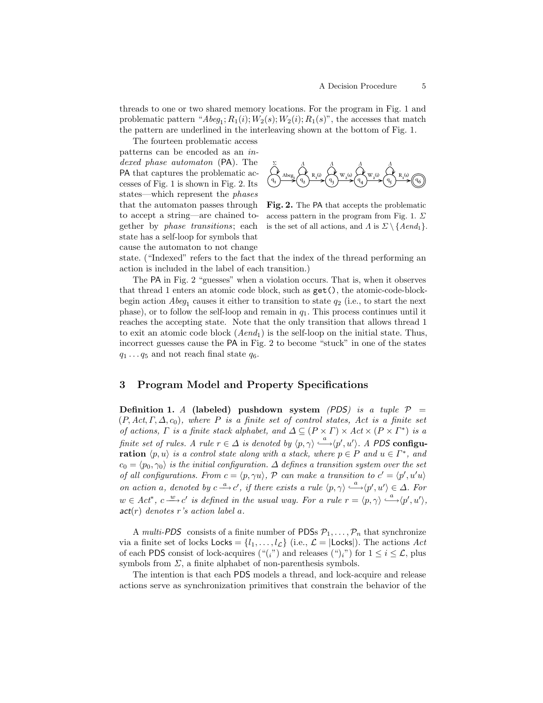threads to one or two shared memory locations. For the program in Fig. 1 and problematic pattern " $A \text{beg}_1; R_1(i); W_2(s); W_2(i); R_1(s)$ ", the accesses that match the pattern are underlined in the interleaving shown at the bottom of Fig. 1.

The fourteen problematic access patterns can be encoded as an indexed phase automaton (PA). The PA that captures the problematic accesses of Fig. 1 is shown in Fig. 2. Its states—which represent the phases that the automaton passes through to accept a string—are chained together by phase transitions; each state has a self-loop for symbols that cause the automaton to not change



Fig. 2. The PA that accepts the problematic access pattern in the program from Fig. 1.  $\Sigma$ is the set of all actions, and  $\Lambda$  is  $\Sigma \setminus {\text{Aend}_1}$ .

state. ("Indexed" refers to the fact that the index of the thread performing an action is included in the label of each transition.)

The PA in Fig. 2 "guesses" when a violation occurs. That is, when it observes that thread 1 enters an atomic code block, such as get(), the atomic-code-blockbegin action  $A \text{beg}_1$  causes it either to transition to state  $q_2$  (i.e., to start the next phase), or to follow the self-loop and remain in  $q_1$ . This process continues until it reaches the accepting state. Note that the only transition that allows thread 1 to exit an atomic code block  $(Aend_1)$  is the self-loop on the initial state. Thus, incorrect guesses cause the PA in Fig. 2 to become "stuck" in one of the states  $q_1 \ldots q_5$  and not reach final state  $q_6$ .

## 3 Program Model and Property Specifications

Definition 1. A (labeled) pushdown system (PDS) is a tuple  $P =$  $(P, Act, \Gamma, \Delta, c_0)$ , where P is a finite set of control states, Act is a finite set of actions,  $\Gamma$  is a finite stack alphabet, and  $\Delta \subseteq (P \times \Gamma) \times Act \times (P \times \Gamma^*)$  is a finite set of rules. A rule  $r \in \Delta$  is denoted by  $\langle p, \gamma \rangle \stackrel{a}{\longrightarrow} \langle p', u' \rangle$ . A PDS configu**ration**  $\langle p, u \rangle$  is a control state along with a stack, where  $p \in P$  and  $u \in \Gamma^*$ , and  $c_0 = \langle p_0, \gamma_0 \rangle$  is the initial configuration.  $\Delta$  defines a transition system over the set of all configurations. From  $c = \langle p, \gamma u \rangle$ , P can make a transition to  $c' = \langle p', u'u \rangle$ on action a, denoted by  $c \stackrel{a}{\longrightarrow} c'$ , if there exists a rule  $\langle p, \gamma \rangle \stackrel{a}{\longrightarrow} \langle p', u' \rangle \in \Delta$ . For  $w \in Act^*, c \xrightarrow{w} c'$  is defined in the usual way. For a rule  $r = \langle p, \gamma \rangle \stackrel{a}{\longrightarrow} \langle p', u' \rangle$ ,  $act(r)$  denotes r's action label a.

A multi-PDS consists of a finite number of PDSs  $P_1, \ldots, P_n$  that synchronize via a finite set of locks  $\mathsf{Locks} = \{l_1, \ldots, l_{\mathcal{L}}\}$  (i.e.,  $\mathcal{L} = |\mathsf{Locks}|\rangle$ ). The actions  $Act$ of each PDS consist of lock-acquires (" $(i)$ ") and releases (")<sub>i</sub>") for  $1 \le i \le \mathcal{L}$ , plus symbols from  $\Sigma$ , a finite alphabet of non-parenthesis symbols.

The intention is that each PDS models a thread, and lock-acquire and release actions serve as synchronization primitives that constrain the behavior of the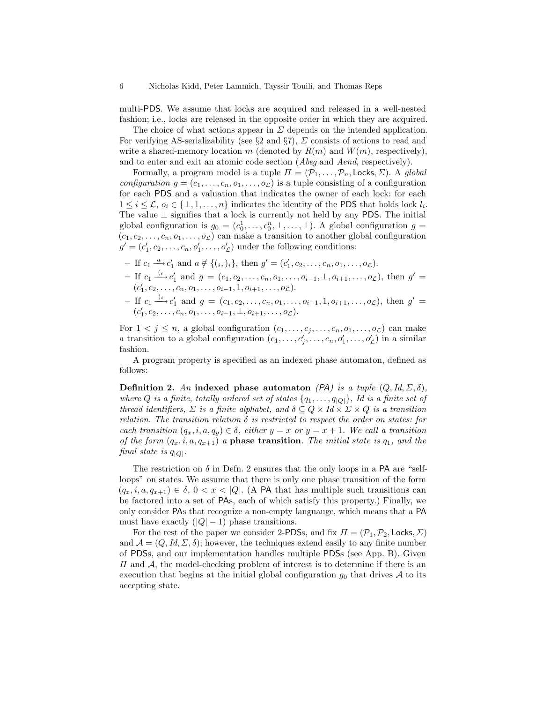multi-PDS. We assume that locks are acquired and released in a well-nested fashion; i.e., locks are released in the opposite order in which they are acquired.

The choice of what actions appear in  $\Sigma$  depends on the intended application. For verifying AS-serializability (see  $\S 2$  and  $\S 7$ ),  $\Sigma$  consists of actions to read and write a shared-memory location m (denoted by  $R(m)$  and  $W(m)$ , respectively), and to enter and exit an atomic code section (Abeg and Aend, respectively).

Formally, a program model is a tuple  $\Pi = (\mathcal{P}_1, \ldots, \mathcal{P}_n, \text{Locks}, \Sigma)$ . A global *configuration*  $g = (c_1, \ldots, c_n, o_1, \ldots, o_\mathcal{L})$  is a tuple consisting of a configuration for each PDS and a valuation that indicates the owner of each lock: for each  $1 \leq i \leq \mathcal{L}, o_i \in \{\perp, 1, \ldots, n\}$  indicates the identity of the PDS that holds lock  $l_i$ . The value  $\perp$  signifies that a lock is currently not held by any PDS. The initial global configuration is  $g_0 = (c_0^1, \ldots, c_0^n, \perp, \ldots, \perp)$ . A global configuration  $g =$  $(c_1, c_2, \ldots, c_n, o_1, \ldots, o_{\mathcal{L}})$  can make a transition to another global configuration  $g' = (c'_1, c_2, \dots, c_n, o'_1, \dots, o'_{\mathcal{L}})$  under the following conditions:

- If  $c_1 \stackrel{a}{\longrightarrow} c'_1$  and  $a \notin \{(i, )_i\}$ , then  $g' = (c'_1, c_2, \ldots, c_n, o_1, \ldots, o_{\mathcal{L}})$ .
- If  $c_1$   $\stackrel{(i)}{\longrightarrow} c'_1$  and  $g = (c_1, c_2, \ldots, c_n, o_1, \ldots, o_{i-1}, \perp, o_{i+1}, \ldots, o_{\mathcal{L}})$ , then  $g'$  =  $(c'_1, c_2, \ldots, c_n, o_1, \ldots, o_{i-1}, 1, o_{i+1}, \ldots, o_{\mathcal{L}}).$
- If  $c_1 \xrightarrow{j_i} c'_1$  and  $g = (c_1, c_2, \ldots, c_n, o_1, \ldots, o_{i-1}, 1, o_{i+1}, \ldots, o_{\mathcal{L}})$ , then  $g' =$  $(c'_1, c_2, \ldots, c_n, o_1, \ldots, o_{i-1}, \perp, o_{i+1}, \ldots, o_{\mathcal{L}}).$

For  $1 \lt j \leq n$ , a global configuration  $(c_1, \ldots, c_j, \ldots, c_n, o_1, \ldots, o_{\mathcal{L}})$  can make a transition to a global configuration  $(c_1, \ldots, c'_j, \ldots, c_n, o'_1, \ldots, o'_\mathcal{L})$  in a similar fashion.

A program property is specified as an indexed phase automaton, defined as follows:

Definition 2. An indexed phase automaton (PA) is a tuple  $(Q, Id, \Sigma, \delta)$ , where Q is a finite, totally ordered set of states  $\{q_1, \ldots, q_{|Q|}\}\$ , Id is a finite set of thread identifiers,  $\Sigma$  is a finite alphabet, and  $\delta \subseteq Q \times Id \times \Sigma \times Q$  is a transition relation. The transition relation  $\delta$  is restricted to respect the order on states: for each transition  $(q_x, i, a, q_y) \in \delta$ , either  $y = x$  or  $y = x + 1$ . We call a transition of the form  $(q_x, i, a, q_{x+1})$  a phase transition. The initial state is  $q_1$ , and the final state is  $q_{|Q|}$ .

The restriction on  $\delta$  in Defn. 2 ensures that the only loops in a PA are "selfloops" on states. We assume that there is only one phase transition of the form  $(q_x, i, a, q_{x+1}) \in \delta, 0 < x < |Q|$ . (A PA that has multiple such transitions can be factored into a set of PAs, each of which satisfy this property.) Finally, we only consider PAs that recognize a non-empty languauge, which means that a PA must have exactly  $(|Q| - 1)$  phase transitions.

For the rest of the paper we consider 2-PDSs, and fix  $\Pi = (\mathcal{P}_1, \mathcal{P}_2, \textsf{Locks}, \Sigma)$ and  $\mathcal{A} = (Q, Id, \Sigma, \delta)$ ; however, the techniques extend easily to any finite number of PDSs, and our implementation handles multiple PDSs (see App. B). Given  $\Pi$  and  $\mathcal{A}$ , the model-checking problem of interest is to determine if there is an execution that begins at the initial global configuration  $g_0$  that drives  $A$  to its accepting state.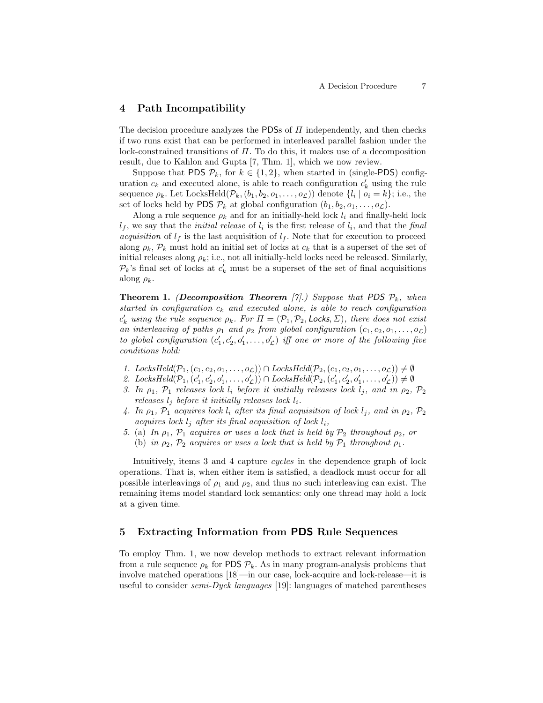## 4 Path Incompatibility

The decision procedure analyzes the PDSs of  $\Pi$  independently, and then checks if two runs exist that can be performed in interleaved parallel fashion under the lock-constrained transitions of  $\Pi$ . To do this, it makes use of a decomposition result, due to Kahlon and Gupta [7, Thm. 1], which we now review.

Suppose that PDS  $\mathcal{P}_k$ , for  $k \in \{1,2\}$ , when started in (single-PDS) configuration  $c_k$  and executed alone, is able to reach configuration  $c'_k$  using the rule sequence  $\rho_k$ . Let LocksHeld $(\mathcal{P}_k,(b_1,b_2,o_1,\ldots,o_{\mathcal{L}}))$  denote  $\{l_i \mid o_i = k\}$ ; i.e., the set of locks held by PDS  $\mathcal{P}_k$  at global configuration  $(b_1, b_2, o_1, \ldots, o_{\mathcal{L}})$ .

Along a rule sequence  $\rho_k$  and for an initially-held lock  $l_i$  and finally-held lock  $l_f$ , we say that the *initial release* of  $l_i$  is the first release of  $l_i$ , and that the final *acquisition* of  $l_f$  is the last acquisition of  $l_f$ . Note that for execution to proceed along  $\rho_k$ ,  $\mathcal{P}_k$  must hold an initial set of locks at  $c_k$  that is a superset of the set of initial releases along  $\rho_k$ ; i.e., not all initially-held locks need be released. Similarly,  $\mathcal{P}_k$ 's final set of locks at  $c'_k$  must be a superset of the set of final acquisitions along  $\rho_k$ .

**Theorem 1.** (Decomposition Theorem [7].) Suppose that PDS  $\mathcal{P}_k$ , when started in configuration  $c_k$  and executed alone, is able to reach configuration  $c'_k$  using the rule sequence  $\rho_k$ . For  $\Pi = (\mathcal{P}_1, \mathcal{P}_2, \textsf{Locks}, \Sigma)$ , there does not exist an interleaving of paths  $\rho_1$  and  $\rho_2$  from global configuration  $(c_1, c_2, o_1, \ldots, o_{\mathcal{L}})$ to global configuration  $(c'_1, c'_2, o'_1, \ldots, o'_{\mathcal{L}})$  iff one or more of the following five conditions hold:

- 1. LocksHeld $(\mathcal{P}_1,(c_1,c_2,o_1,\ldots,o_{\mathcal{L}})) \cap LocksHeld(\mathcal{P}_2,(c_1,c_2,o_1,\ldots,o_{\mathcal{L}})) \neq \emptyset$
- 2. LocksHeld $(\mathcal{P}_1, (c'_1, c'_2, o'_1, \ldots, o'_\mathcal{L})) \cap LocksHeld(\mathcal{P}_2, (c'_1, c'_2, o'_1, \ldots, o'_\mathcal{L})) \neq \emptyset$
- 3. In  $\rho_1$ ,  $\mathcal{P}_1$  releases lock  $l_i$  before it initially releases lock  $l_j$ , and in  $\rho_2$ ,  $\mathcal{P}_2$ releases  $l_j$  before it initially releases lock  $l_i$ .
- 4. In  $\rho_1$ ,  $\mathcal{P}_1$  acquires lock  $l_i$  after its final acquisition of lock  $l_j$ , and in  $\rho_2$ ,  $\mathcal{P}_2$ acquires lock  $l_i$  after its final acquisition of lock  $l_i$ ,
- 5. (a) In  $\rho_1$ ,  $\mathcal{P}_1$  acquires or uses a lock that is held by  $\mathcal{P}_2$  throughout  $\rho_2$ , or
	- (b) in  $\rho_2$ ,  $\mathcal{P}_2$  acquires or uses a lock that is held by  $\mathcal{P}_1$  throughout  $\rho_1$ .

Intuitively, items 3 and 4 capture cycles in the dependence graph of lock operations. That is, when either item is satisfied, a deadlock must occur for all possible interleavings of  $\rho_1$  and  $\rho_2$ , and thus no such interleaving can exist. The remaining items model standard lock semantics: only one thread may hold a lock at a given time.

# 5 Extracting Information from PDS Rule Sequences

To employ Thm. 1, we now develop methods to extract relevant information from a rule sequence  $\rho_k$  for PDS  $\mathcal{P}_k$ . As in many program-analysis problems that involve matched operations [18]—in our case, lock-acquire and lock-release—it is useful to consider *semi-Dyck languages* [19]: languages of matched parentheses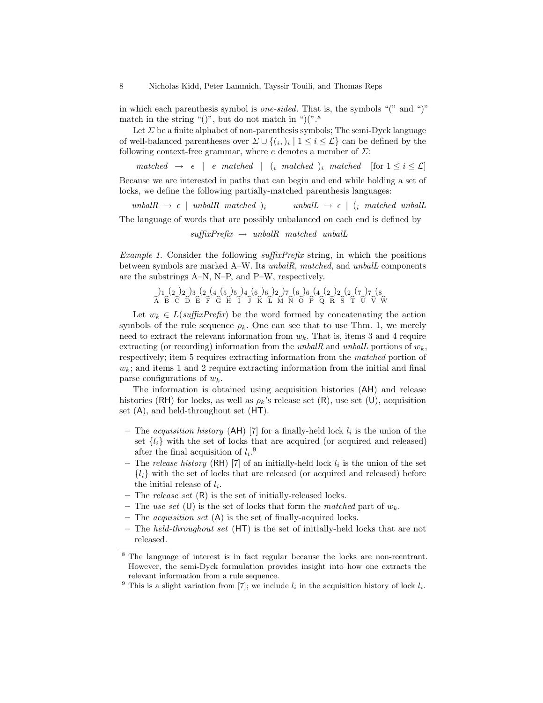in which each parenthesis symbol is one-sided. That is, the symbols "(" and ")" match in the string "()", but do not match in " $($ ".<sup>8</sup>

Let  $\Sigma$  be a finite alphabet of non-parenthesis symbols; The semi-Dyck language of well-balanced parentheses over  $\Sigma \cup \{(i, j) \mid 1 \leq i \leq \mathcal{L}\}\)$  can be defined by the following context-free grammar, where  $e$  denotes a member of  $\Sigma$ :

matched  $\rightarrow \epsilon$  | e matched |  $(i \text{ matched})_i$  matched [for  $1 \leq i \leq \mathcal{L}$ ] Because we are interested in paths that can begin and end while holding a set of locks, we define the following partially-matched parenthesis languages:

unbal $R \rightarrow \epsilon$  | unbal $R$  matched )<sub>i</sub> unbal $L \rightarrow \epsilon$  | (i matched unball The language of words that are possibly unbalanced on each end is defined by

 $suffixPrefix \rightarrow unball$  matched unball

*Example 1.* Consider the following  $\text{suffixPrefix}$  string, in which the positions between symbols are marked A–W. Its unbalR, matched, and unbalL components are the substrings A–N, N–P, and P–W, respectively.

Ab )1 Bb (2 Cb )2 Db )3 bE (2 bF (4 Gb (5 Hb )5 bI )4 bJ (6 Kb )6 bL )2 Mb )7 Nb (6 Ob )6 bP (4 Qb (2 Rb )2 bS (2 Tb (7 Ub )7 Vb (8 Wb

Let  $w_k \in L(suffixPrefix)$  be the word formed by concatenating the action symbols of the rule sequence  $\rho_k$ . One can see that to use Thm. 1, we merely need to extract the relevant information from  $w_k$ . That is, items 3 and 4 require extracting (or recording) information from the unbalR and unbalL portions of  $w_k$ . respectively; item 5 requires extracting information from the matched portion of  $w_k$ ; and items 1 and 2 require extracting information from the initial and final parse configurations of  $w_k$ .

The information is obtained using acquisition histories (AH) and release histories (RH) for locks, as well as  $\rho_k$ 's release set (R), use set (U), acquisition set (A), and held-throughout set (HT).

- The *acquisition history* (AH) [7] for a finally-held lock  $l_i$  is the union of the set  $\{l_i\}$  with the set of locks that are acquired (or acquired and released) after the final acquisition of  $l_i$ <sup>9</sup>
- The release history (RH) [7] of an initially-held lock  $l_i$  is the union of the set  ${l_i}$  with the set of locks that are released (or acquired and released) before the initial release of  $l_i$ .
- The *release set*  $(R)$  is the set of initially-released locks.
- The use set (U) is the set of locks that form the matched part of  $w_k$ .
- The *acquisition set*  $(A)$  is the set of finally-acquired locks.
- The held-throughout set  $(HT)$  is the set of initially-held locks that are not released.

<sup>8</sup> The language of interest is in fact regular because the locks are non-reentrant. However, the semi-Dyck formulation provides insight into how one extracts the relevant information from a rule sequence.

<sup>&</sup>lt;sup>9</sup> This is a slight variation from [7]; we include  $l_i$  in the acquisition history of lock  $l_i$ .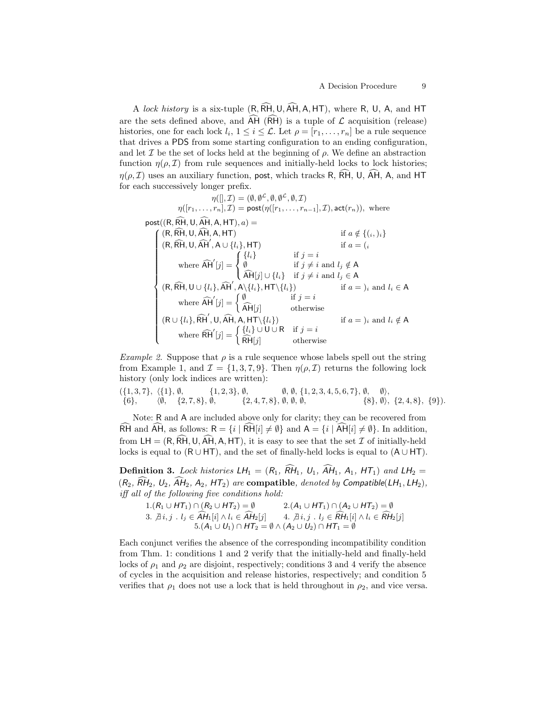A lock history is a six-tuple  $(R, \widehat{RH}, U, \widehat{AH}, A, HT)$ , where R, U, A, and HT are the sets defined above, and  $\widehat{AH}(\widehat{RH})$  is a tuple of  $\mathcal L$  acquisition (release) histories, one for each lock  $l_i$ ,  $1 \leq i \leq \mathcal{L}$ . Let  $\rho = [r_1, \ldots, r_n]$  be a rule sequence that drives a PDS from some starting configuration to an ending configuration, and let  $\mathcal I$  be the set of locks held at the beginning of  $\rho$ . We define an abstraction function  $\eta(\rho, \mathcal{I})$  from rule sequences and initially-held locks to lock histories;  $\eta(\rho, \mathcal{I})$  uses an auxiliary function, post, which tracks R,  $\widehat{RH}$ , U,  $\widehat{AH}$ , A, and HT for each successively longer prefix.

 $\eta([.,\mathcal{I}) = (\emptyset, \emptyset^{\mathcal{L}}, \emptyset, \emptyset^{\mathcal{L}}, \emptyset, \mathcal{I})$  $\eta([r_1,\ldots,r_n],\mathcal{I}) = \mathsf{post}(\eta([r_1,\ldots,r_{n-1}],\mathcal{I}),\mathsf{act}(r_n)),$  where post( $(R, \widehat{RH}, U, \widehat{AH}, A, HT), a$ ) =<br>  $( (R, \widehat{RH}, U, \widehat{AH}, A, HT)$  $\left($  (R, RH, U, AH, A, HT) if  $a \notin \{(i, i)\}$  $\begin{array}{c} \hline \end{array}$  $\begin{array}{c} \hline \rule{0pt}{2.2ex} \rule{0pt}{2.2ex} \rule{0pt}{2.2ex} \rule{0pt}{2.2ex} \rule{0pt}{2.2ex} \rule{0pt}{2.2ex} \rule{0pt}{2.2ex} \rule{0pt}{2.2ex} \rule{0pt}{2.2ex} \rule{0pt}{2.2ex} \rule{0pt}{2.2ex} \rule{0pt}{2.2ex} \rule{0pt}{2.2ex} \rule{0pt}{2.2ex} \rule{0pt}{2.2ex} \rule{0pt}{2.2ex} \rule{0pt}{2.2ex} \rule{0pt}{2.2ex} \rule{0pt}{2.2ex} \$  $(R, \widehat{RH}, U, \widehat{AH}', A \cup \{l_i\}, HT)$  if  $a = (i$ where  $\widehat{AH}'[j] =$  $\sqrt{ }$ J  $\mathcal{L}$  ${l_i}$  if  $j = i$ Ø if  $j \neq i$  and  $l_j \notin A$  $AH[j] \cup \{l_i\}$  if  $j \neq i$  and  $l_j \in A$  $(R, \widehat{RH}, U \cup \{l_i\}, \widehat{AH}', A \setminus \{l_i\}, HT \setminus \{l_i\})$  if  $a = j_i$  and  $l_i \in A$ where  $\widehat{AH}'[j] = \begin{cases} \emptyset & \text{if } j = i \\ \widehat{AH}[j] & \text{otherwise} \end{cases}$  $AH[j]$  otherwise  $(R \cup \{l_i\}, \widehat{RH}', \mathsf{U}, \widehat{AH}, \mathsf{A}, \mathsf{HT}\setminus\{l_i\})$  if  $a = j_i$  and  $l_i \notin \mathsf{A}$ where  $\widehat{\text{RH}}'[j] = \begin{cases} \{l_i\} \cup \text{U} \cup \text{R} & \text{if } j = i \\ \widehat{\text{RH}}[i] & \text{otherwise} \end{cases}$  $RH[j]$  otherwise

Example 2. Suppose that  $\rho$  is a rule sequence whose labels spell out the string from Example 1, and  $\mathcal{I} = \{1, 3, 7, 9\}$ . Then  $\eta(\rho, \mathcal{I})$  returns the following lock history (only lock indices are written):

 $( \{1, 3, 7\}, \{1\}, \emptyset, \{1, 2, 3\}, \emptyset, \emptyset, \{1, 2, 3, 4, 5, 6, 7\}, \emptyset, \emptyset), \ \{6\}, \{0, 4, 2, 3, 4, 5, 6, 7\}, \emptyset, \{8\}, \emptyset), \ \{1, 2, 3, 4, 5, 6, 7\}, \emptyset, \{8\}, \emptyset),$  $\{6\}, \quad \langle \emptyset, \{2, 7, 8\}, \emptyset, \{2, 4, 7, 8\}, \emptyset, \emptyset, \emptyset, \emptyset, \{2, 4, 8\}, \{3\}\rangle, \{2, 4, 8\}, \{9\}\rangle.$ 

Note: R and A are included above only for clarity; they can be recovered from RH and AH, as follows:  $R = \{i | \tilde{R}H[i] \neq \emptyset\}$  and  $A = \{i | \tilde{A}H[i] \neq \emptyset\}$ . In addition, from  $LH = (R, \widehat{RH}, U, \widehat{AH}, A, HT)$ , it is easy to see that the set  $\mathcal I$  of initially-held locks is equal to  $(R \cup HT)$ , and the set of finally-held locks is equal to  $(A \cup HT)$ .

**Definition 3.** Lock histories  $LH_1 = (R_1, \widehat{RH}_1, U_1, \widehat{AH}_1, A_1, HT_1)$  and  $LH_2 =$  $(R_2, \widehat{RH}_2, U_2, \widehat{AH}_2, A_2, HT_2)$  are compatible, denoted by Compatible(LH<sub>1</sub>, LH<sub>2</sub>), iff all of the following five conditions hold:

 $1.(R_1\cup HT_1)\cap (R_2\cup HT_2)=\emptyset \hspace{1cm} 2.(A_1\cup HT_1)\cap (A_2\cup HT_2)=\emptyset$ 3.  $\overline{\beta}$  i, j .  $l_j \in AH_1[i] \land l_i \in AH_2[j]$  4.  $\overline{\beta}$  i, j .  $l_j \in RH_1[i] \land l_i \in RH_2[j]$ <br>5.  $(A_1 \cup U_1) \cap HT_2 = \emptyset \land (A_2 \cup U_2) \cap HT_1 = \emptyset$ 

Each conjunct verifies the absence of the corresponding incompatibility condition from Thm. 1: conditions 1 and 2 verify that the initially-held and finally-held locks of  $\rho_1$  and  $\rho_2$  are disjoint, respectively; conditions 3 and 4 verify the absence of cycles in the acquisition and release histories, respectively; and condition 5 verifies that  $\rho_1$  does not use a lock that is held throughout in  $\rho_2$ , and vice versa.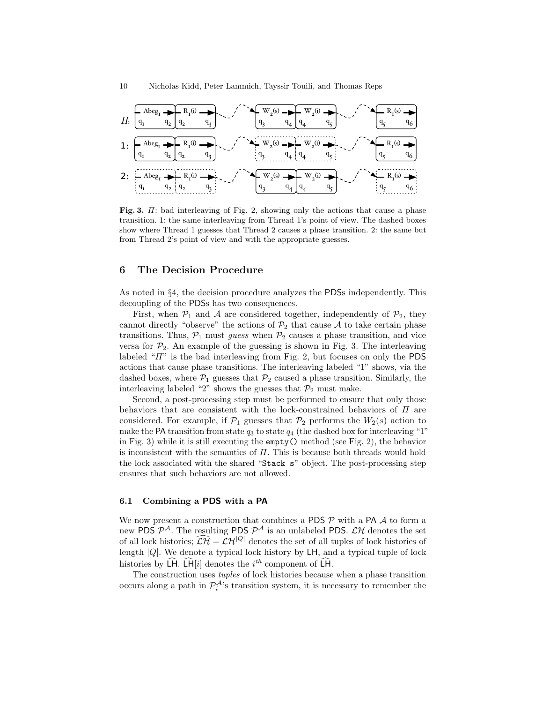

Fig. 3. Π: bad interleaving of Fig. 2, showing only the actions that cause a phase transition. 1: the same interleaving from Thread 1's point of view. The dashed boxes show where Thread 1 guesses that Thread 2 causes a phase transition. 2: the same but from Thread 2's point of view and with the appropriate guesses.

## 6 The Decision Procedure

As noted in §4, the decision procedure analyzes the PDSs independently. This decoupling of the PDSs has two consequences.

First, when  $\mathcal{P}_1$  and A are considered together, independently of  $\mathcal{P}_2$ , they cannot directly "observe" the actions of  $\mathcal{P}_2$  that cause A to take certain phase transitions. Thus,  $P_1$  must guess when  $P_2$  causes a phase transition, and vice versa for  $\mathcal{P}_2$ . An example of the guessing is shown in Fig. 3. The interleaving labeled " $\Pi$ " is the bad interleaving from Fig. 2, but focuses on only the PDS actions that cause phase transitions. The interleaving labeled "1" shows, via the dashed boxes, where  $P_1$  guesses that  $P_2$  caused a phase transition. Similarly, the interleaving labeled "2" shows the guesses that  $\mathcal{P}_2$  must make.

Second, a post-processing step must be performed to ensure that only those behaviors that are consistent with the lock-constrained behaviors of  $\Pi$  are considered. For example, if  $\mathcal{P}_1$  guesses that  $\mathcal{P}_2$  performs the  $W_2(s)$  action to make the PA transition from state  $q_3$  to state  $q_4$  (the dashed box for interleaving "1" in Fig. 3) while it is still executing the empty() method (see Fig. 2), the behavior is inconsistent with the semantics of  $\Pi$ . This is because both threads would hold the lock associated with the shared "Stack s" object. The post-processing step ensures that such behaviors are not allowed.

#### 6.1 Combining a PDS with a PA

We now present a construction that combines a PDS  $\mathcal P$  with a PA  $\mathcal A$  to form a new PDS  $\mathcal{P}^{\mathcal{A}}$ . The resulting PDS  $\mathcal{P}^{\mathcal{A}}$  is an unlabeled PDS.  $\mathcal{L}\mathcal{H}$  denotes the set of all lock histories;  $\widehat{\mathcal{LH}} = \mathcal{LH}^{|Q|}$  denotes the set of all tuples of lock histories of length  $|Q|$ . We denote a typical lock history by  $L$ H, and a typical tuple of lock histories by LH. LH[i] denotes the  $i^{th}$  component of LH.

The construction uses tuples of lock histories because when a phase transition occurs along a path in  $\mathcal{P}_i^{\mathcal{A}}$ 's transition system, it is necessary to remember the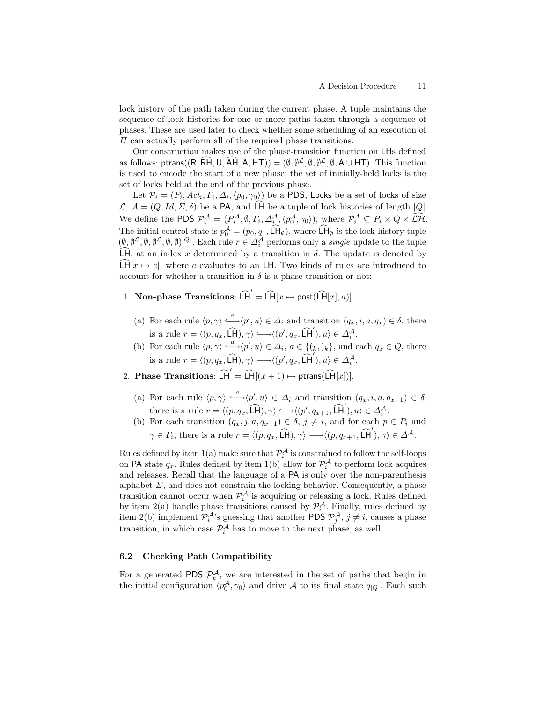lock history of the path taken during the current phase. A tuple maintains the sequence of lock histories for one or more paths taken through a sequence of phases. These are used later to check whether some scheduling of an execution of  $\Pi$  can actually perform all of the required phase transitions.

Our construction makes use of the phase-transition function on LHs defined as follows: ptrans $((R, \tilde{R}H, U, \tilde{A}H, A, HT)) = (\emptyset, \emptyset^{\mathcal{L}}, \emptyset, \emptyset^{\mathcal{L}}, \emptyset, A \cup HT)$ . This function is used to encode the start of a new phase: the set of initially-held locks is the set of locks held at the end of the previous phase.

Let  $\mathcal{P}_i=(P_i,Act_i,\Gamma_i,\Delta_i,\langle p_0,\gamma_0\rangle)$  be a PDS, Locks be a set of locks of size  $\mathcal{L}, \mathcal{A} = (Q, Id, \Sigma, \delta)$  be a PA, and  $\widehat{\mathsf{LH}}$  be a tuple of lock histories of length  $|Q|$ . We define the PDS  $P_i^{\mathcal{A}} = (P_i^{\mathcal{A}}, \emptyset, \Gamma_i, \Delta_i^{\mathcal{A}}, \langle p_0^{\mathcal{A}}, \gamma_0 \rangle),$  where  $P_i^{\mathcal{A}} \subseteq P_i \times Q \times \widehat{\mathcal{L}}\widehat{\mathcal{H}}$ . The initial control state is  $p_0^{\mathcal{A}} = (p_0, q_1, \widehat{\mathsf{L}}\mathsf{H}_{\emptyset})$ , where  $\widehat{\mathsf{L}}\mathsf{H}_{\emptyset}$  is the lock-history tuple  $(\emptyset, \emptyset^{\mathcal{L}}, \emptyset, \emptyset^{\mathcal{L}}, \emptyset, \emptyset)^{|Q|}$ . Each rule  $r \in \Delta_i^{\mathcal{A}}$  performs only a *single* LH, at an index x determined by a transition in  $\delta$ . The update is denoted by  $\widehat{\text{LH}}[x \mapsto e]$ , where e evaluates to an LH. Two kinds of rules are introduced to account for whether a transition in  $\delta$  is a phase transition or not:

- 1. Non-phase Transitions:  $\widehat{H}' = \widehat{H}[x \mapsto \mathsf{post}(\widehat{H}[x], a)].$ 
	- (a) For each rule  $\langle p, \gamma \rangle \stackrel{a}{\longrightarrow} \langle p', u \rangle \in \Delta_i$  and transition  $(q_x, i, a, q_x) \in \delta$ , there is a rule  $r = \langle (p, q_x, \widehat{\mathsf{LP}}), \gamma \rangle \longrightarrow \langle (p', q_x, \widehat{\mathsf{LP}}'), u \rangle \in \Delta_i^{\mathcal{A}}$ .
	- (b) For each rule  $\langle p, \gamma \rangle \stackrel{a}{\longrightarrow} \langle p', u \rangle \in \Delta_i$ ,  $a \in \{(k, k)\}$ , and each  $q_x \in Q$ , there is a rule  $r = \langle (p, q_x, \widehat{\mathsf{LH}}), \gamma \rangle \longrightarrow \langle (p', q_x, \widehat{\mathsf{LH}}'), u \rangle \in \Delta_i^{\mathcal{A}}$ .
- 2. Phase Transitions:  $\widehat{LH}' = \widehat{LH}[(x+1) \mapsto \text{ptrans}(\widehat{LH}[x])].$ 
	- (a) For each rule  $\langle p, \gamma \rangle \stackrel{a}{\longleftrightarrow} \langle p', u \rangle \in \Delta_i$  and transition  $(q_x, i, a, q_{x+1}) \in \delta$ , there is a rule  $r = \langle (p, q_x, \widehat{\mathsf{LH}}), \gamma \rangle \longrightarrow \langle (p', q_{x+1}, \widehat{\mathsf{LH}}'), u \rangle \in \Delta_i^{\mathcal{A}}$ .
	- (b) For each transition  $(q_x, j, a, q_{x+1}) \in \delta, j \neq i$ , and for each  $p \in P_i$  and  $\gamma \in \Gamma_i$ , there is a rule  $r = \langle (p, q_x, \widehat{\mathsf{LP}}), \gamma \rangle \longrightarrow \langle (p, q_{x+1}, \widehat{\mathsf{LP}}'), \gamma \rangle \in \Delta^{\mathcal{A}}.$

Rules defined by item  $1(a)$  make sure that  $\mathcal{P}_i^{\mathcal{A}}$  is constrained to follow the self-loops on PA state  $q_x$ . Rules defined by item 1(b) allow for  $\mathcal{P}_i^{\mathcal{A}}$  to perform lock acquires and releases. Recall that the language of a PA is only over the non-parenthesis alphabet  $\Sigma$ , and does not constrain the locking behavior. Consequently, a phase transition cannot occur when  $\mathcal{P}_i^{\mathcal{A}}$  is acquiring or releasing a lock. Rules defined by item 2(a) handle phase transitions caused by  $\mathcal{P}_i^{\mathcal{A}}$ . Finally, rules defined by item 2(b) implement  $\mathcal{P}_i^{\mathcal{A}}$ 's guessing that another PDS  $\mathcal{P}_j^{\mathcal{A}}, j \neq i$ , causes a phase transition, in which case  $\mathcal{P}_{i}^{\mathcal{A}}$  has to move to the next phase, as well.

#### 6.2 Checking Path Compatibility

For a generated PDS  $\mathcal{P}_k^{\mathcal{A}}$ , we are interested in the set of paths that begin in the initial configuration  $\langle p_0^{\mathcal{A}}, \gamma_0 \rangle$  and drive A to its final state  $q_{|Q|}$ . Each such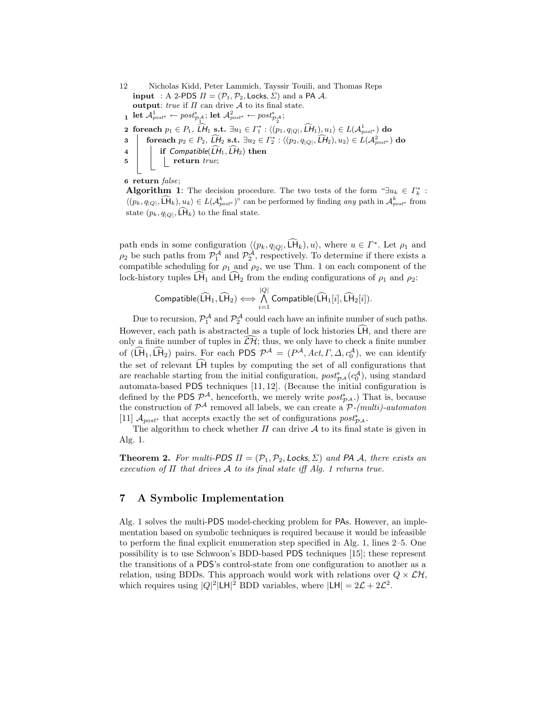12 Nicholas Kidd, Peter Lammich, Tayssir Touili, and Thomas Reps input : A 2-PDS  $\Pi = (\mathcal{P}_1, \mathcal{P}_2, \text{Locks}, \Sigma)$  and a PA A. output:  $true$  if  $\Pi$  can drive  $\mathcal A$  to its final state.  $\mathbf{1} \ \mathsf{let} \ \mathcal{A}_{post^*}^1 \leftarrow post^*_{\mathcal{P}_1^{\mathcal{A}}}; \mathsf{let} \ \mathcal{A}_{post^*}^2 \leftarrow post^*_{\mathcal{P}_2^{\mathcal{A}}};$ **2** foreach  $p_1 \in P_1$ ,  $\widehat{LH}_1$  s.t.  $\exists u_1 \in \Gamma_1^* : \langle (p_1, q_{|Q|}, \widehat{LH}_1), u_1 \rangle \in L(\mathcal{A}_{post^*}^1)$  do  $\texttt{for} \ \texttt{each} \ p_2 \in P_2, \ \widehat{\cancel{LH}}_2 \ \texttt{s.t.} \ \exists u_2 \in \Gamma_2^*: \langle (p_2, q_{|Q|}, \widehat{\cancel{LH}}_2), u_2 \rangle \in L(\mathcal{A}_{post^*}^2) \ \texttt{do}$ 4 if Compatible( $\widehat{LH}_1$ ,  $\widehat{LH}_2$ ) then<br>5 eturn *true*;  $\vert$  return true;

6 return false;

Algorithm 1: The decision procedure. The two tests of the form " $\exists u_k \in \Gamma_k^*$ :  $\langle (p_k, q_{|Q|}, \tilde{\mathsf{L}}\mathsf{H}_k), u_k \rangle \in L(\mathcal{A}_{post*}^k)$ " can be performed by finding any path in  $\mathcal{A}_{post*}^k$  from state  $(p_k, q_{\vert Q \vert}, \mathsf{LH}_k)$  to the final state.

path ends in some configuration  $\langle (p_k, q_{|Q|}, \widehat{\mathsf{LH}}_k), u \rangle$ , where  $u \in \Gamma^*$ . Let  $\rho_1$  and  $\rho_2$  be such paths from  $\mathcal{P}_1^{\mathcal{A}}$  and  $\mathcal{P}_2^{\mathcal{A}}$ , respectively. To determine if there exists a compatible scheduling for  $\rho_1$  and  $\rho_2$ , we use Thm. 1 on each component of the lock-history tuples LH<sub>1</sub> and LH<sub>2</sub> from the ending configurations of  $\rho_1$  and  $\rho_2$ :

$$
\text{Compute}(\widehat{\text{LH}}_1, \widehat{\text{LH}}_2) \Longleftrightarrow \bigwedge_{i=1}^{|Q|} \text{Compute}(\widehat{\text{LH}}_1[i], \widehat{\text{LH}}_2[i]).
$$

Due to recursion,  $\mathcal{P}_1^{\mathcal{A}}$  and  $\mathcal{P}_2^{\mathcal{A}}$  could each have an infinite number of such paths. However, each path is abstracted as a tuple of lock histories  $LH$ , and there are only a finite number of tuples in  $\widehat{\mathcal{L}\mathcal{H}}$ ; thus, we only have to check a finite number of  $(\tilde{L}H_1, \tilde{L}H_2)$  pairs. For each PDS  $\mathcal{P}^{\mathcal{A}} = (P^{\mathcal{A}}, Act, \Gamma, \Delta, c_0^{\mathcal{A}})$ , we can identify the set of relevant  $\overline{\mathsf{L}}\mathsf{H}$  tuples by computing the set of all configurations that are reachable starting from the initial configuration,  $post^*_{\mathcal{P}^{\mathcal{A}}}(c_0^{\mathcal{A}})$ , using standard automata-based PDS techniques [11, 12]. (Because the initial configuration is defined by the PDS  $\mathcal{P}^{\mathcal{A}}$ , henceforth, we merely write  $post_{\mathcal{P}^{\mathcal{A}}}^*$ .) That is, because the construction of  $\mathcal{P}^{\mathcal{A}}$  removed all labels, we can create a  $\mathcal{P}$ -(multi)-automaton [11]  $A_{post*}$  that accepts exactly the set of configurations  $post_{\mathcal{P}^A}^*$ .

The algorithm to check whether  $\Pi$  can drive  $A$  to its final state is given in Alg. 1.

**Theorem 2.** For multi-PDS  $\Pi = (\mathcal{P}_1, \mathcal{P}_2, \text{Locks}, \Sigma)$  and PA A, there exists an execution of  $\Pi$  that drives  $A$  to its final state iff Alg. 1 returns true.

# 7 A Symbolic Implementation

Alg. 1 solves the multi-PDS model-checking problem for PAs. However, an implementation based on symbolic techniques is required because it would be infeasible to perform the final explicit enumeration step specified in Alg. 1, lines 2–5. One possibility is to use Schwoon's BDD-based PDS techniques [15]; these represent the transitions of a PDS's control-state from one configuration to another as a relation, using BDDs. This approach would work with relations over  $Q \times \mathcal{LH}$ , which requires using  $|Q|^2|\text{LH}|^2$  BDD variables, where  $|\text{LH}| = 2\mathcal{L} + 2\mathcal{L}^2$ .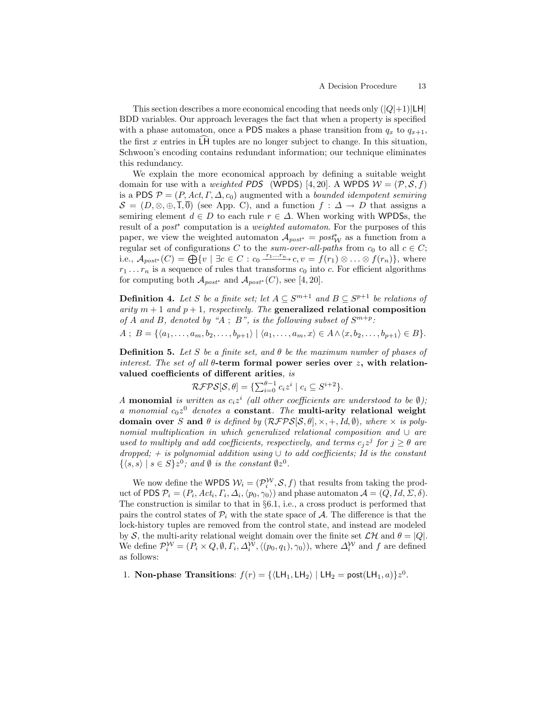This section describes a more economical encoding that needs only  $(|Q|+1)|LH|$ BDD variables. Our approach leverages the fact that when a property is specified with a phase automaton, once a PDS makes a phase transition from  $q_x$  to  $q_{x+1}$ , the first x entries in  $\overline{\mathsf{L}}\mathsf{H}$  tuples are no longer subject to change. In this situation, Schwoon's encoding contains redundant information; our technique eliminates this redundancy.

We explain the more economical approach by defining a suitable weight domain for use with a *weighted PDS* (WPDS) [4, 20]. A WPDS  $W = (\mathcal{P}, \mathcal{S}, f)$ is a PDS  $\mathcal{P} = (P, Act, \Gamma, \Delta, c_0)$  augmented with a *bounded idempotent semiring*  $S = (D, \otimes, \oplus, \overline{1}, \overline{0})$  (see App. C), and a function  $f : \Delta \to D$  that assigns a semiring element  $d \in D$  to each rule  $r \in \Delta$ . When working with WPDSs, the result of a *post*<sup>\*</sup> computation is a *weighted automaton*. For the purposes of this paper, we view the weighted automaton  $A_{post*} = post*_{\mathcal{W}}$  as a function from a regular set of configurations C to the sum-over-all-paths from  $c_0$  to all  $c \in C$ ; i.e.,  $\mathcal{A}_{post^*}(C) = \bigoplus_{i=1}^{\infty} \{v \mid \exists c \in C : c_0 \xrightarrow{r_1...r_n} c, v = f(r_1) \otimes \ldots \otimes f(r_n) \},$  where  $r_1 \ldots r_n$  is a sequence of rules that transforms  $c_0$  into c. For efficient algorithms for computing both  $\mathcal{A}_{post^*}$  and  $\mathcal{A}_{post^*}(C)$ , see [4, 20].

**Definition 4.** Let S be a finite set; let  $A \subseteq S^{m+1}$  and  $B \subseteq S^{p+1}$  be relations of arity  $m + 1$  and  $p + 1$ , respectively. The generalized relational composition of A and B, denoted by "A; B", is the following subset of  $S^{m+p}$ :

 $A \; ; \; B = \{ \langle a_1, \ldots, a_m, b_2, \ldots, b_{p+1} \rangle \; | \; \langle a_1, \ldots, a_m, x \rangle \in A \land \langle x, b_2, \ldots, b_{p+1} \rangle \in B \}.$ 

**Definition 5.** Let S be a finite set, and  $\theta$  be the maximum number of phases of interest. The set of all  $\theta$ -term formal power series over z, with relationvalued coefficients of different arities, is

$$
\mathcal{RFPS}[\mathcal{S}, \theta] = \{ \sum_{i=0}^{\theta-1} c_i z^i \mid c_i \subseteq S^{i+2} \}.
$$

A **monomial** is written as  $c_i z^i$  (all other coefficients are understood to be  $\emptyset$ ); a monomial  $c_0z^0$  denotes a constant. The multi-arity relational weight domain over S and  $\theta$  is defined by  $(RFPS[S,\theta], \times, +, Id, \emptyset)$ , where  $\times$  is polynomial multiplication in which generalized relational composition and ∪ are used to multiply and add coefficients, respectively, and terms  $c_j z^j$  for  $j \ge \theta$  are dropped; + is polynomial addition using  $\cup$  to add coefficients; Id is the constant  $\{\langle s, s \rangle \mid s \in S\} z^0$ ; and  $\emptyset$  is the constant  $\emptyset z^0$ .

We now define the WPDS  $W_i = (\mathcal{P}_i^{\mathcal{W}}, \mathcal{S}, f)$  that results from taking the product of PDS  $\mathcal{P}_i = (P_i, Act_i, \Gamma_i, \Delta_i, \langle p_0, \gamma_0 \rangle)$  and phase automaton  $\mathcal{A} = (Q, Id, \Sigma, \delta)$ . The construction is similar to that in §6.1, i.e., a cross product is performed that pairs the control states of  $\mathcal{P}_i$  with the state space of  $\mathcal{A}$ . The difference is that the lock-history tuples are removed from the control state, and instead are modeled by S, the multi-arity relational weight domain over the finite set  $\mathcal{LH}$  and  $\theta = |Q|$ . We define  $\mathcal{P}_i^{\mathcal{W}} = (P_i \times Q, \emptyset, \Gamma_i, \Delta_i^{\mathcal{W}}, \langle (p_0, q_1), \gamma_0 \rangle)$ , where  $\Delta_i^{\mathcal{W}}$  and f are defined as follows:

1. Non-phase Transitions:  $f(r) = {\langle \text{LH}_1, \text{LH}_2 \rangle | \text{LH}_2 = \text{post}(\text{LH}_1, a) \} z^0$ .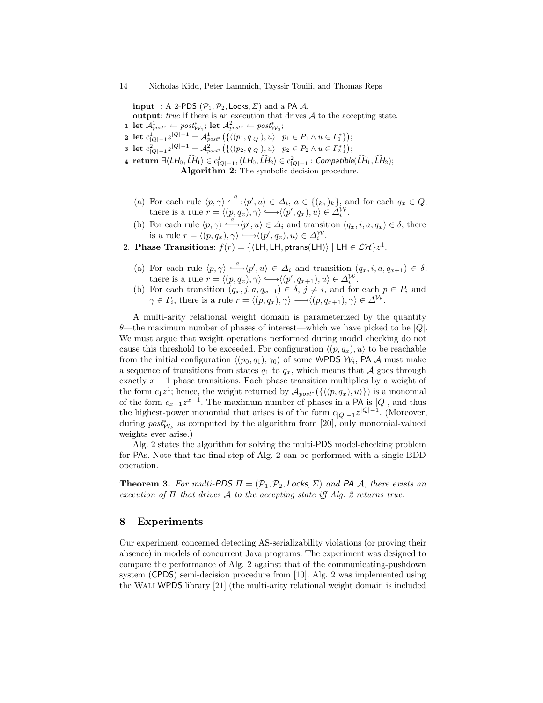input : A 2-PDS  $(\mathcal{P}_1, \mathcal{P}_2, \text{Locks}, \Sigma)$  and a PA A.

output:  $true$  if there is an execution that drives  $A$  to the accepting state.

 $\mathbf{1} \ \mathsf{let} \ \mathcal{A}^1_{post^*} \leftarrow post^*_{\mathcal{W}_1}; \ \mathsf{let} \ \mathcal{A}^2_{post^*} \leftarrow post^*_{\mathcal{W}_2};$ 

2 let  $c_{|Q|-1}^1 z^{|Q|-1} = \mathcal{A}_{post^*}^1 \big( \{ \langle (p_1, q_{|Q|}), u \rangle \mid p_1 \in P_1 \land u \in \Gamma_1^* \} \big);$ 

**3** let  $c_{|Q|-1}^2 z^{|Q|-1} = \mathcal{A}_{post^*}^2 \left( \{ \langle (p_2, q_{|Q|}), u \rangle \mid p_2 \in P_2 \land u \in \Gamma_2^* \} \right);$ 

 $\texttt{4 return } ∃(LH_0, \widehat{LH}_1) \in c^1_{|Q|-1}, \langle LH_0, \widehat{LH}_2\rangle \in c^2_{|Q|-1} : \textit{Computible}(\widehat{LH}_1, \widehat{LH}_2);$ Algorithm 2: The symbolic decision procedure.

- (a) For each rule  $\langle p, \gamma \rangle \stackrel{a}{\longrightarrow} \langle p', u \rangle \in \Delta_i$ ,  $a \in \{(k, k)\}\$ , and for each  $q_x \in Q$ , there is a rule  $r = \langle (p, q_x), \gamma \rangle \longrightarrow \langle (p', q_x), u \rangle \in \Delta_i^{\mathcal{W}}$ .
- (b) For each rule  $\langle p, \gamma \rangle \stackrel{a}{\longrightarrow} \langle p', u \rangle \in \Delta_i$  and transition  $(q_x, i, a, q_x) \in \delta$ , there is a rule  $r = \langle (p, q_x), \gamma \rangle \longrightarrow \langle (p', q_x), u \rangle \in \Delta_i^{\mathcal{W}}$ .
- 2. Phase Transitions:  $f(r) = \{ \langle LH, LH, ptrans(LH) \rangle | LH \in \mathcal{LH} \} z^1$ .
	- (a) For each rule  $\langle p, \gamma \rangle \stackrel{a}{\longleftrightarrow} \langle p', u \rangle \in \Delta_i$  and transition  $(q_x, i, a, q_{x+1}) \in \delta$ , there is a rule  $r = \langle (p, q_x), \gamma \rangle \longrightarrow \langle (p', q_{x+1}), u \rangle \in \Delta_i^{\mathcal{W}}$ .
	- (b) For each transition  $(q_x, j, a, q_{x+1}) \in \delta$ ,  $j \neq i$ , and for each  $p \in P_i$  and  $\gamma \in \Gamma_i$ , there is a rule  $r = \langle (p, q_x), \gamma \rangle \longrightarrow \langle (p, q_{x+1}), \gamma \rangle \in \Delta^{\mathcal{W}}$ .

A multi-arity relational weight domain is parameterized by the quantity  $\theta$ —the maximum number of phases of interest—which we have picked to be |Q|. We must argue that weight operations performed during model checking do not cause this threshold to be exceeded. For configuration  $\langle (p, q_x), u \rangle$  to be reachable from the initial configuration  $\langle (p_0, q_1), \gamma_0 \rangle$  of some WPDS  $\mathcal{W}_i$ , PA A must make a sequence of transitions from states  $q_1$  to  $q_x$ , which means that A goes through exactly  $x - 1$  phase transitions. Each phase transition multiplies by a weight of the form  $c_1 z^1$ ; hence, the weight returned by  $\mathcal{A}_{post^*}(\{\langle (p, q_x), u \rangle\})$  is a monomial of the form  $c_{x-1}z^{x-1}$ . The maximum number of phases in a PA is  $|Q|$ , and thus the highest-power monomial that arises is of the form  $c_{|Q|-1}z^{|Q|-1}$ . (Moreover, during  $\text{post}_{\mathcal{W}_k}^*$  as computed by the algorithm from [20], only monomial-valued weights ever arise.)

Alg. 2 states the algorithm for solving the multi-PDS model-checking problem for PAs. Note that the final step of Alg. 2 can be performed with a single BDD operation.

**Theorem 3.** For multi-PDS  $\Pi = (\mathcal{P}_1, \mathcal{P}_2, \text{Locks}, \Sigma)$  and PA A, there exists an execution of  $\Pi$  that drives  $\mathcal A$  to the accepting state iff Alg. 2 returns true.

# 8 Experiments

Our experiment concerned detecting AS-serializability violations (or proving their absence) in models of concurrent Java programs. The experiment was designed to compare the performance of Alg. 2 against that of the communicating-pushdown system (CPDS) semi-decision procedure from [10]. Alg. 2 was implemented using the Wali WPDS library [21] (the multi-arity relational weight domain is included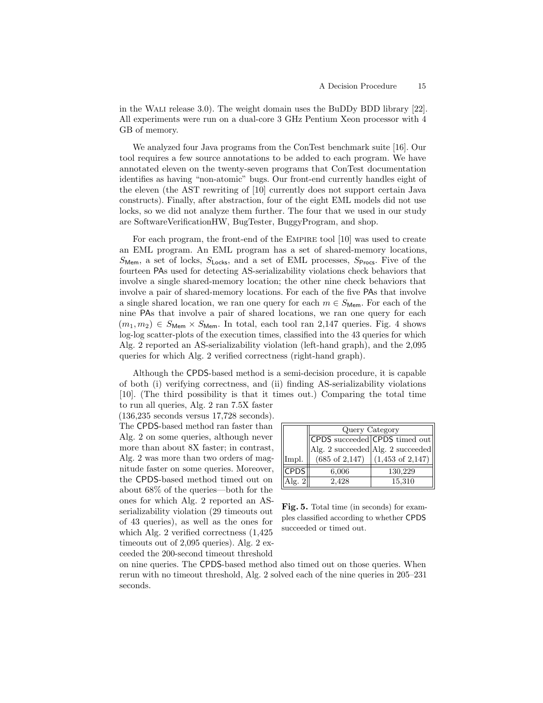in the Wali release 3.0). The weight domain uses the BuDDy BDD library [22]. All experiments were run on a dual-core 3 GHz Pentium Xeon processor with 4 GB of memory.

We analyzed four Java programs from the ConTest benchmark suite [16]. Our tool requires a few source annotations to be added to each program. We have annotated eleven on the twenty-seven programs that ConTest documentation identifies as having "non-atomic" bugs. Our front-end currently handles eight of the eleven (the AST rewriting of [10] currently does not support certain Java constructs). Finally, after abstraction, four of the eight EML models did not use locks, so we did not analyze them further. The four that we used in our study are SoftwareVerificationHW, BugTester, BuggyProgram, and shop.

For each program, the front-end of the EMPIRE tool [10] was used to create an EML program. An EML program has a set of shared-memory locations,  $S_{\text{Mem}}$ , a set of locks,  $S_{\text{Locks}}$ , and a set of EML processes,  $S_{\text{Process}}$ . Five of the fourteen PAs used for detecting AS-serializability violations check behaviors that involve a single shared-memory location; the other nine check behaviors that involve a pair of shared-memory locations. For each of the five PAs that involve a single shared location, we ran one query for each  $m \in S_{\text{Mem}}$ . For each of the nine PAs that involve a pair of shared locations, we ran one query for each  $(m_1, m_2) \in S_{\text{Mem}} \times S_{\text{Mem}}$ . In total, each tool ran 2,147 queries. Fig. 4 shows log-log scatter-plots of the execution times, classified into the 43 queries for which Alg. 2 reported an AS-serializability violation (left-hand graph), and the 2,095 queries for which Alg. 2 verified correctness (right-hand graph).

Although the CPDS-based method is a semi-decision procedure, it is capable of both (i) verifying correctness, and (ii) finding AS-serializability violations [10]. (The third possibility is that it times out.) Comparing the total time to run all queries, Alg. 2 ran 7.5X faster

(136,235 seconds versus 17,728 seconds). The CPDS-based method ran faster than

Alg. 2 on some queries, although never more than about 8X faster; in contrast, Alg. 2 was more than two orders of magnitude faster on some queries. Moreover, the CPDS-based method timed out on about 68% of the queries—both for the ones for which Alg. 2 reported an ASserializability violation (29 timeouts out of 43 queries), as well as the ones for which Alg. 2 verified correctness (1,425 timeouts out of 2,095 queries). Alg. 2 exceeded the 200-second timeout threshold

|             | Query Category |                                                       |  |
|-------------|----------------|-------------------------------------------------------|--|
|             |                | CPDS succeeded CPDS timed out                         |  |
|             |                | Alg. 2 succeeded Alg. 2 succeeded                     |  |
| Impl.       |                | $(685 \text{ of } 2,147)$ $(1,453 \text{ of } 2,147)$ |  |
| <b>CPDS</b> | 6,006          | 130,229                                               |  |
| Alg. $2$    | 2,428          | 15,310                                                |  |

Fig. 5. Total time (in seconds) for examples classified according to whether CPDS succeeded or timed out.

on nine queries. The CPDS-based method also timed out on those queries. When rerun with no timeout threshold, Alg. 2 solved each of the nine queries in 205–231 seconds.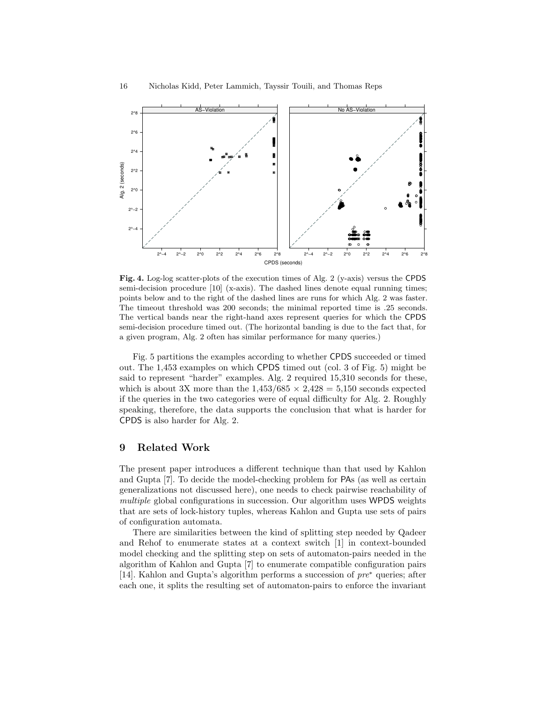

Fig. 4. Log-log scatter-plots of the execution times of Alg. 2 (y-axis) versus the CPDS semi-decision procedure [10] (x-axis). The dashed lines denote equal running times; points below and to the right of the dashed lines are runs for which Alg. 2 was faster. The timeout threshold was 200 seconds; the minimal reported time is .25 seconds. The vertical bands near the right-hand axes represent queries for which the CPDS semi-decision procedure timed out. (The horizontal banding is due to the fact that, for a given program, Alg. 2 often has similar performance for many queries.)

Fig. 5 partitions the examples according to whether CPDS succeeded or timed out. The 1,453 examples on which CPDS timed out (col. 3 of Fig. 5) might be said to represent "harder" examples. Alg. 2 required 15,310 seconds for these, which is about 3X more than the  $1,453/685 \times 2,428 = 5,150$  seconds expected if the queries in the two categories were of equal difficulty for Alg. 2. Roughly speaking, therefore, the data supports the conclusion that what is harder for CPDS is also harder for Alg. 2.

#### 9 Related Work

The present paper introduces a different technique than that used by Kahlon and Gupta [7]. To decide the model-checking problem for PAs (as well as certain generalizations not discussed here), one needs to check pairwise reachability of multiple global configurations in succession. Our algorithm uses WPDS weights that are sets of lock-history tuples, whereas Kahlon and Gupta use sets of pairs of configuration automata.

There are similarities between the kind of splitting step needed by Qadeer and Rehof to enumerate states at a context switch [1] in context-bounded model checking and the splitting step on sets of automaton-pairs needed in the algorithm of Kahlon and Gupta [7] to enumerate compatible configuration pairs [14]. Kahlon and Gupta's algorithm performs a succession of pre<sup>∗</sup> queries; after each one, it splits the resulting set of automaton-pairs to enforce the invariant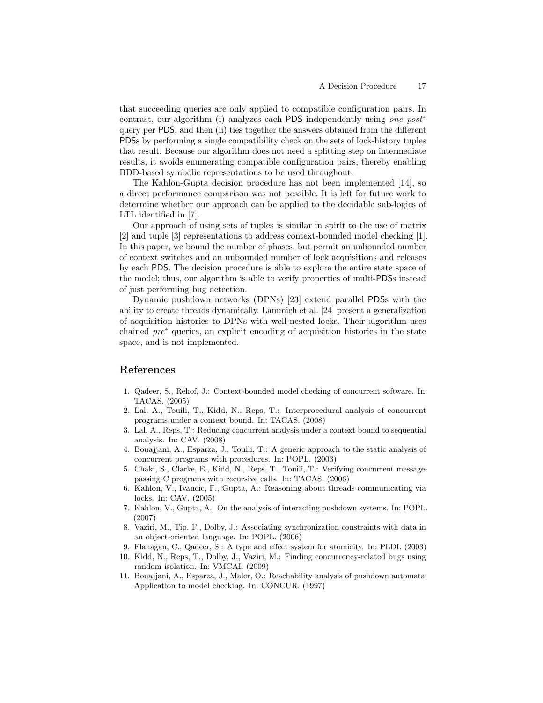that succeeding queries are only applied to compatible configuration pairs. In contrast, our algorithm (i) analyzes each PDS independently using *one post*<sup>\*</sup> query per PDS, and then (ii) ties together the answers obtained from the different PDSs by performing a single compatibility check on the sets of lock-history tuples that result. Because our algorithm does not need a splitting step on intermediate results, it avoids enumerating compatible configuration pairs, thereby enabling BDD-based symbolic representations to be used throughout.

The Kahlon-Gupta decision procedure has not been implemented [14], so a direct performance comparison was not possible. It is left for future work to determine whether our approach can be applied to the decidable sub-logics of LTL identified in [7].

Our approach of using sets of tuples is similar in spirit to the use of matrix [2] and tuple [3] representations to address context-bounded model checking [1]. In this paper, we bound the number of phases, but permit an unbounded number of context switches and an unbounded number of lock acquisitions and releases by each PDS. The decision procedure is able to explore the entire state space of the model; thus, our algorithm is able to verify properties of multi-PDSs instead of just performing bug detection.

Dynamic pushdown networks (DPNs) [23] extend parallel PDSs with the ability to create threads dynamically. Lammich et al. [24] present a generalization of acquisition histories to DPNs with well-nested locks. Their algorithm uses chained pre<sup>∗</sup> queries, an explicit encoding of acquisition histories in the state space, and is not implemented.

# References

- 1. Qadeer, S., Rehof, J.: Context-bounded model checking of concurrent software. In: TACAS. (2005)
- 2. Lal, A., Touili, T., Kidd, N., Reps, T.: Interprocedural analysis of concurrent programs under a context bound. In: TACAS. (2008)
- 3. Lal, A., Reps, T.: Reducing concurrent analysis under a context bound to sequential analysis. In: CAV. (2008)
- 4. Bouajjani, A., Esparza, J., Touili, T.: A generic approach to the static analysis of concurrent programs with procedures. In: POPL. (2003)
- 5. Chaki, S., Clarke, E., Kidd, N., Reps, T., Touili, T.: Verifying concurrent messagepassing C programs with recursive calls. In: TACAS. (2006)
- 6. Kahlon, V., Ivancic, F., Gupta, A.: Reasoning about threads communicating via locks. In: CAV. (2005)
- 7. Kahlon, V., Gupta, A.: On the analysis of interacting pushdown systems. In: POPL. (2007)
- 8. Vaziri, M., Tip, F., Dolby, J.: Associating synchronization constraints with data in an object-oriented language. In: POPL. (2006)
- 9. Flanagan, C., Qadeer, S.: A type and effect system for atomicity. In: PLDI. (2003)
- 10. Kidd, N., Reps, T., Dolby, J., Vaziri, M.: Finding concurrency-related bugs using random isolation. In: VMCAI. (2009)
- 11. Bouajjani, A., Esparza, J., Maler, O.: Reachability analysis of pushdown automata: Application to model checking. In: CONCUR. (1997)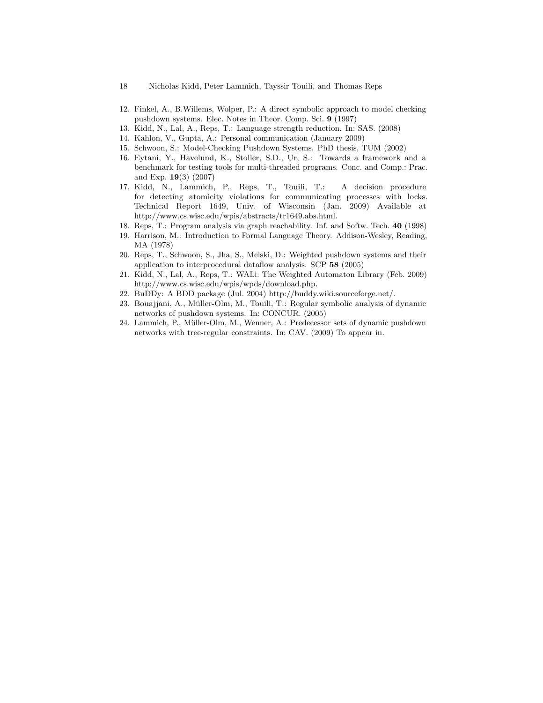- 18 Nicholas Kidd, Peter Lammich, Tayssir Touili, and Thomas Reps
- 12. Finkel, A., B.Willems, Wolper, P.: A direct symbolic approach to model checking pushdown systems. Elec. Notes in Theor. Comp. Sci. 9 (1997)
- 13. Kidd, N., Lal, A., Reps, T.: Language strength reduction. In: SAS. (2008)
- 14. Kahlon, V., Gupta, A.: Personal communication (January 2009)
- 15. Schwoon, S.: Model-Checking Pushdown Systems. PhD thesis, TUM (2002)
- 16. Eytani, Y., Havelund, K., Stoller, S.D., Ur, S.: Towards a framework and a benchmark for testing tools for multi-threaded programs. Conc. and Comp.: Prac. and Exp. 19(3) (2007)
- 17. Kidd, N., Lammich, P., Reps, T., Touili, T.: A decision procedure for detecting atomicity violations for communicating processes with locks. Technical Report 1649, Univ. of Wisconsin (Jan. 2009) Available at http://www.cs.wisc.edu/wpis/abstracts/tr1649.abs.html.
- 18. Reps, T.: Program analysis via graph reachability. Inf. and Softw. Tech. 40 (1998)
- 19. Harrison, M.: Introduction to Formal Language Theory. Addison-Wesley, Reading, MA (1978)
- 20. Reps, T., Schwoon, S., Jha, S., Melski, D.: Weighted pushdown systems and their application to interprocedural dataflow analysis. SCP 58 (2005)
- 21. Kidd, N., Lal, A., Reps, T.: WALi: The Weighted Automaton Library (Feb. 2009) http://www.cs.wisc.edu/wpis/wpds/download.php.
- 22. BuDDy: A BDD package (Jul. 2004) http://buddy.wiki.sourceforge.net/.
- 23. Bouajjani, A., M¨uller-Olm, M., Touili, T.: Regular symbolic analysis of dynamic networks of pushdown systems. In: CONCUR. (2005)
- 24. Lammich, P., Müller-Olm, M., Wenner, A.: Predecessor sets of dynamic pushdown networks with tree-regular constraints. In: CAV. (2009) To appear in.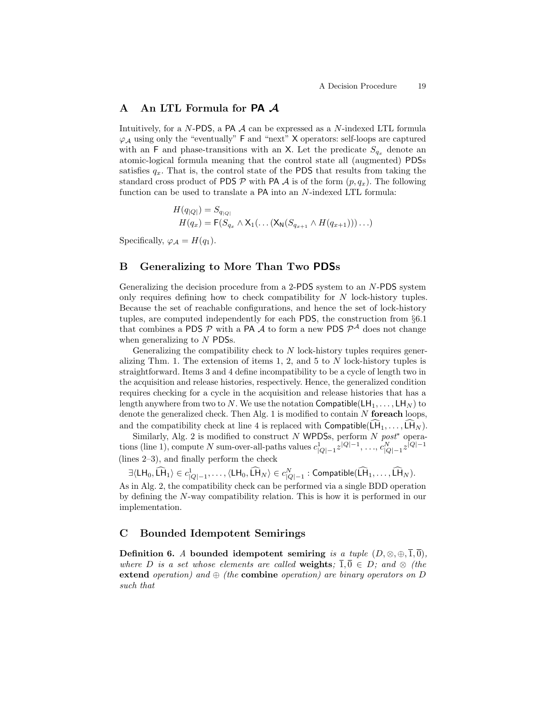# A An LTL Formula for **PA** A

Intuitively, for a  $N$ -PDS, a PA  $\mathcal A$  can be expressed as a  $N$ -indexed LTL formula  $\varphi_{\mathcal{A}}$  using only the "eventually" F and "next" X operators: self-loops are captured with an F and phase-transitions with an X. Let the predicate  $S_{q_x}$  denote an atomic-logical formula meaning that the control state all (augmented) PDSs satisfies  $q_x$ . That is, the control state of the PDS that results from taking the standard cross product of PDS  $\mathcal P$  with PA  $\mathcal A$  is of the form  $(p, q_x)$ . The following function can be used to translate a PA into an N-indexed LTL formula:

$$
H(q_{|Q|}) = S_{q_{|Q|}}
$$
  
\n
$$
H(q_x) = \mathsf{F}(S_{q_x} \wedge \mathsf{X}_1(\dots(\mathsf{X}_{\mathsf{N}}(S_{q_{x+1}} \wedge H(q_{x+1})))\dots)
$$

Specifically,  $\varphi_A = H(q_1)$ .

### B Generalizing to More Than Two PDSs

Generalizing the decision procedure from a 2-PDS system to an N-PDS system only requires defining how to check compatibility for N lock-history tuples. Because the set of reachable configurations, and hence the set of lock-history tuples, are computed independently for each PDS, the construction from §6.1 that combines a PDS  $P$  with a PA  $A$  to form a new PDS  $P^A$  does not change when generalizing to N PDSs.

Generalizing the compatibility check to  $N$  lock-history tuples requires generalizing Thm. 1. The extension of items 1, 2, and 5 to  $N$  lock-history tuples is straightforward. Items 3 and 4 define incompatibility to be a cycle of length two in the acquisition and release histories, respectively. Hence, the generalized condition requires checking for a cycle in the acquisition and release histories that has a length anywhere from two to N. We use the notation Compatible( $\mathsf{LH}_1, \ldots, \mathsf{LH}_N$ ) to denote the generalized check. Then Alg. 1 is modified to contain  $N$  for each loops. and the compatibility check at line 4 is replaced with Compatible( $LH_1, \ldots, LH_N$ ).

Similarly, Alg. 2 is modified to construct N WPDSs, perform N  $post*$  operations (line 1), compute N sum-over-all-paths values  $c_{|Q|-1}^1 z^{|Q|-1}, \ldots, c_{|Q|-1}^N z^{|Q|-1}$ (lines 2–3), and finally perform the check

 $\exists \langle \mathsf{LH}_0, \tilde{\mathsf{LH}}_1 \rangle \in c^1_{|Q|-1}, \ldots, \langle \mathsf{LH}_0, \tilde{\mathsf{LH}}_N \rangle \in c^N_{|Q|-1} : \mathsf{Compatible}(\tilde{\mathsf{LH}}_1, \ldots, \tilde{\mathsf{LH}}_N).$ As in Alg. 2, the compatibility check can be performed via a single BDD operation by defining the N-way compatibility relation. This is how it is performed in our implementation.

# C Bounded Idempotent Semirings

Definition 6. A bounded idempotent semiring is a tuple  $(D, \otimes, \oplus, \overline{1}, \overline{0})$ , where D is a set whose elements are called **weights**;  $1, 0 \in D$ ; and  $\otimes$  (the extend operation) and  $\oplus$  (the combine operation) are binary operators on D such that